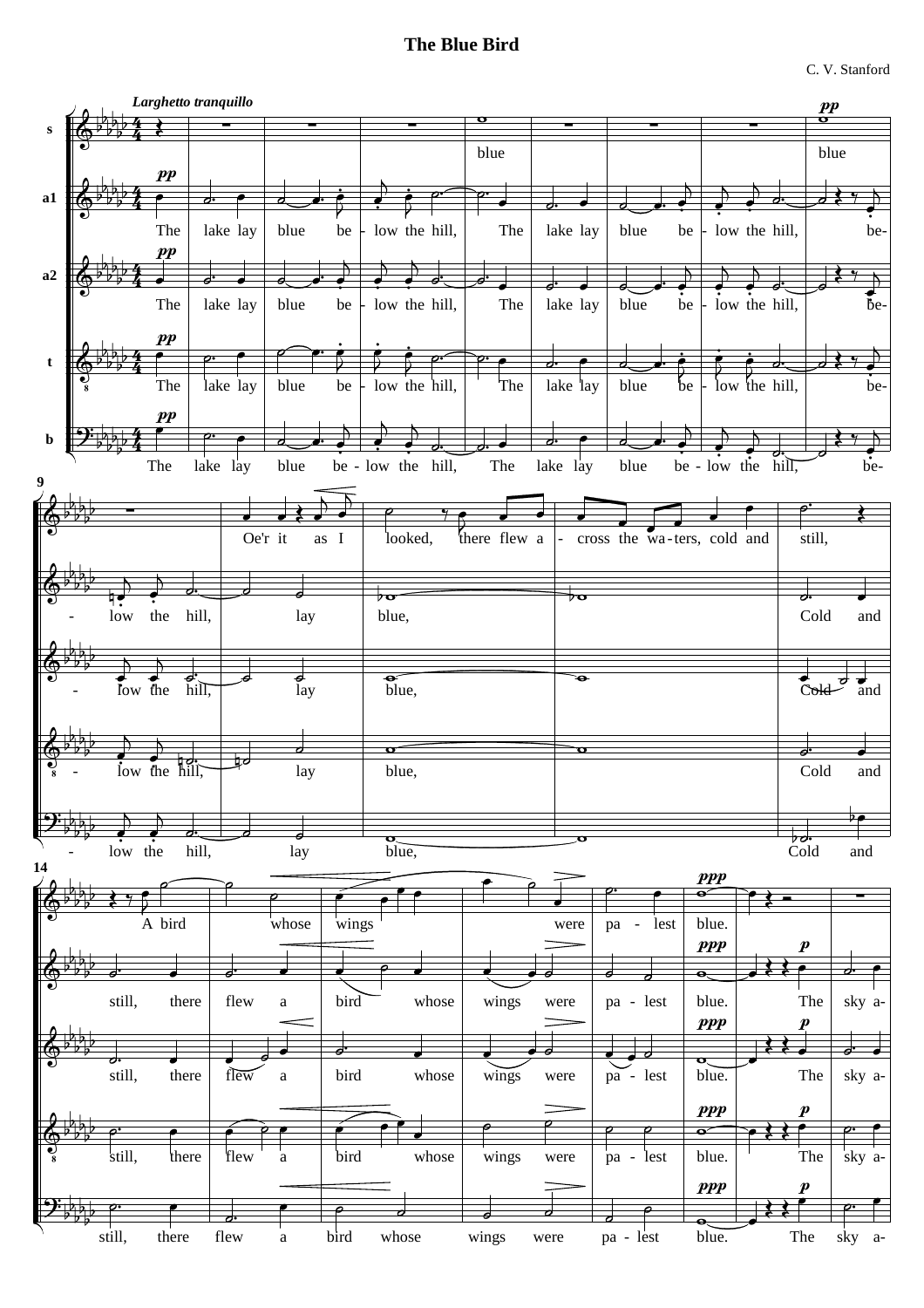## **The Blue Bird**